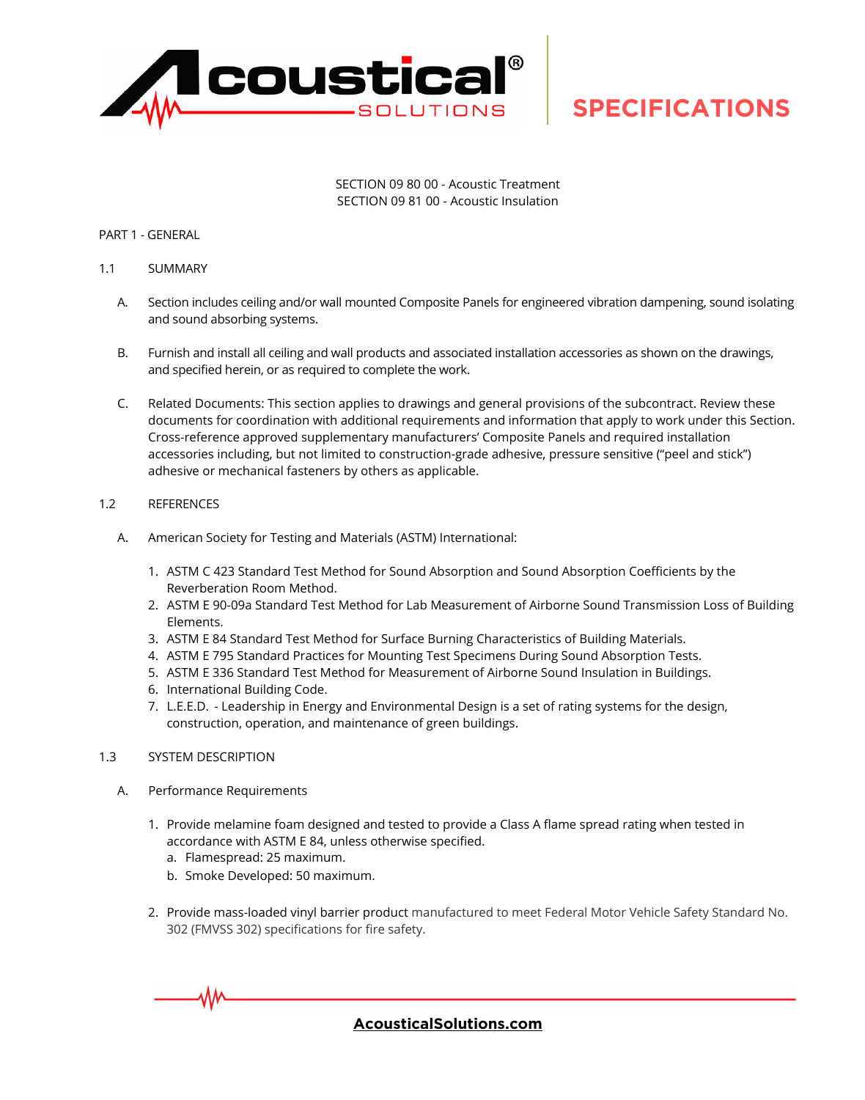

SECTION 09 80 00 - Acoustic Treatment SECTION 09 81 00 - Acoustic Insulation

### PART 1 - GENERAL

- 1.1 SUMMARY
	- A. Section includes ceiling and/or wall mounted Composite Panels for engineered vibration dampening, sound isolating and sound absorbing systems.
	- B. Furnish and install all ceiling and wall products and associated installation accessories as shown on the drawings, and specified herein, or as required to complete the work.
	- C. Related Documents: This section applies to drawings and general provisions of the subcontract. Review these documents for coordination with additional requirements and information that apply to work under this Section. Cross-reference approved supplementary manufacturers' Composite Panels and required installation accessories including, but not limited to construction-grade adhesive, pressure sensitive ("peel and stick") adhesive or mechanical fasteners by others as applicable.

### 1.2 REFERENCES

- A. American Society for Testing and Materials (ASTM) International:
	- 1. ASTM C 423 Standard Test Method for Sound Absorption and Sound Absorption Coefficients by the Reverberation Room Method.
	- 2. ASTM E 90-09a Standard Test Method for Lab Measurement of Airborne Sound Transmission Loss of Building Elements.
	- 3. ASTM E 84 Standard Test Method for Surface Burning Characteristics of Building Materials.
	- 4. ASTM E 795 Standard Practices for Mounting Test Specimens During Sound Absorption Tests.
	- 5. ASTM E 336 Standard Test Method for Measurement of Airborne Sound Insulation in Buildings.
	- 6. International Building Code.
	- 7. L.E.E.D. Leadership in Energy and Environmental Design is a set of rating systems for the design, construction, operation, and maintenance of green buildings.

#### 1.3 SYSTEM DESCRIPTION

- A. Performance Requirements
	- 1. Provide melamine foam designed and tested to provide a Class A flame spread rating when tested in accordance with ASTM E 84, unless otherwise specified.
		- a. Flamespread: 25 maximum.
		- b. Smoke Developed: 50 maximum.
	- 2. Provide mass-loaded vinyl barrier product manufactured to meet Federal Motor Vehicle Safety Standard No. 302 (FMVSS 302) specifications for fire safety.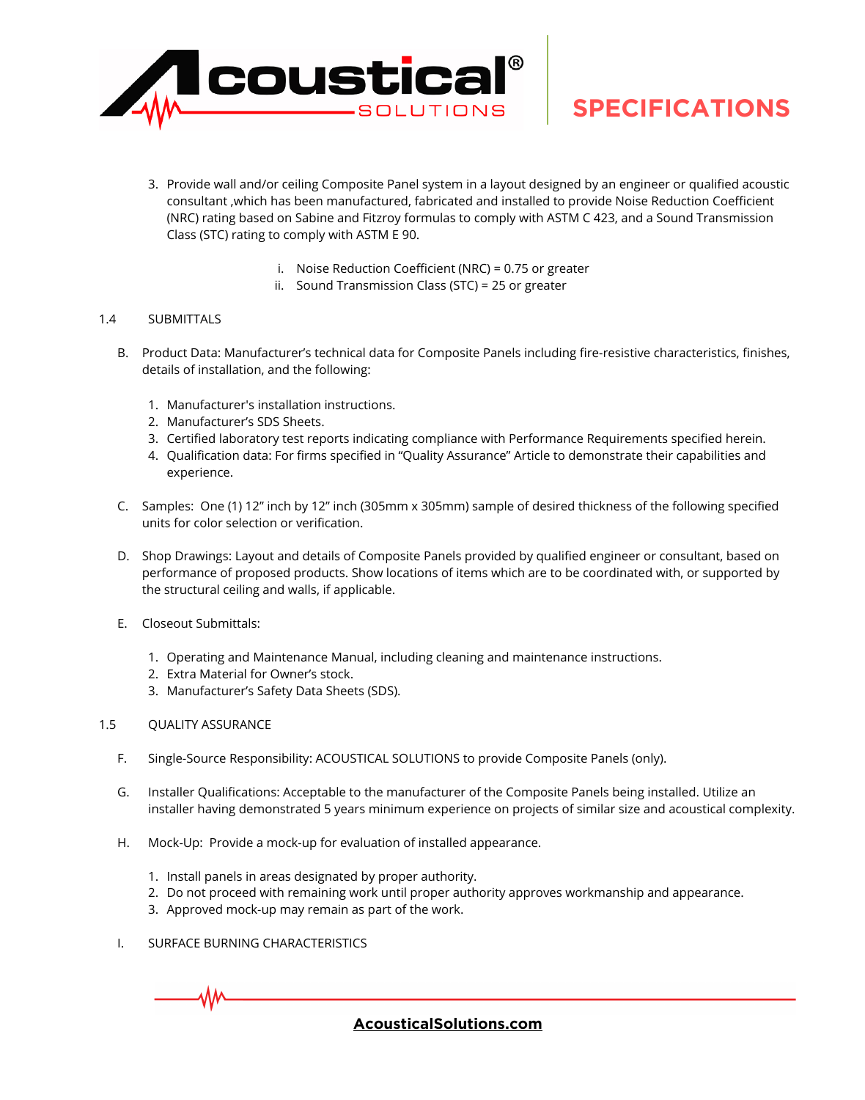

- 3. Provide wall and/or ceiling Composite Panel system in a layout designed by an engineer or qualified acoustic consultant ,which has been manufactured, fabricated and installed to provide Noise Reduction Coefficient (NRC) rating based on Sabine and Fitzroy formulas to comply with ASTM C 423, and a Sound Transmission Class (STC) rating to comply with ASTM E 90.
	- i. Noise Reduction Coefficient (NRC) = 0.75 or greater
	- ii. Sound Transmission Class (STC) = 25 or greater

### 1.4 SUBMITTALS

- B. Product Data: Manufacturer's technical data for Composite Panels including fire-resistive characteristics, finishes, details of installation, and the following:
	- 1. Manufacturer's installation instructions.
	- 2. Manufacturer's SDS Sheets.
	- 3. Certified laboratory test reports indicating compliance with Performance Requirements specified herein.
	- 4. Qualification data: For firms specified in "Quality Assurance" Article to demonstrate their capabilities and experience.
- C. Samples: One (1) 12" inch by 12" inch (305mm x 305mm) sample of desired thickness of the following specified units for color selection or verification.
- D. Shop Drawings: Layout and details of Composite Panels provided by qualified engineer or consultant, based on performance of proposed products. Show locations of items which are to be coordinated with, or supported by the structural ceiling and walls, if applicable.
- E. Closeout Submittals:
	- 1. Operating and Maintenance Manual, including cleaning and maintenance instructions.
	- 2. Extra Material for Owner's stock.
	- 3. Manufacturer's Safety Data Sheets (SDS).

### 1.5 QUALITY ASSURANCE

- F. Single-Source Responsibility: ACOUSTICAL SOLUTIONS to provide Composite Panels (only).
- G. Installer Qualifications: Acceptable to the manufacturer of the Composite Panels being installed. Utilize an installer having demonstrated 5 years minimum experience on projects of similar size and acoustical complexity.
- H. Mock-Up: Provide a mock-up for evaluation of installed appearance.
	- 1. Install panels in areas designated by proper authority.
	- 2. Do not proceed with remaining work until proper authority approves workmanship and appearance.
	- 3. Approved mock-up may remain as part of the work.
- I. SURFACE BURNING CHARACTERISTICS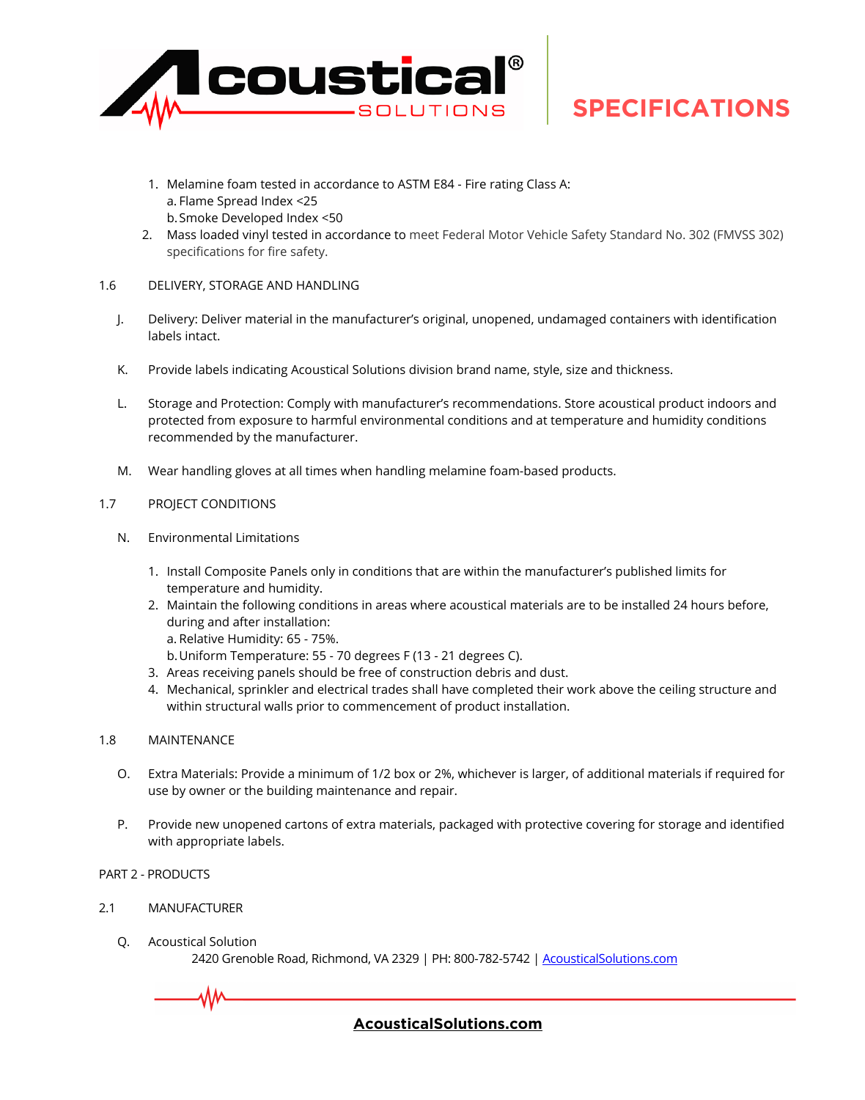

- 1. Melamine foam tested in accordance to ASTM E84 Fire rating Class A: a. Flame Spread Index <25 b.Smoke Developed Index <50
- 2. Mass loaded vinyl tested in accordance to meet Federal Motor Vehicle Safety Standard No. 302 (FMVSS 302) specifications for fire safety.

# 1.6 DELIVERY, STORAGE AND HANDLING

- J. Delivery: Deliver material in the manufacturer's original, unopened, undamaged containers with identification labels intact.
- K. Provide labels indicating Acoustical Solutions division brand name, style, size and thickness.
- L. Storage and Protection: Comply with manufacturer's recommendations. Store acoustical product indoors and protected from exposure to harmful environmental conditions and at temperature and humidity conditions recommended by the manufacturer.
- M. Wear handling gloves at all times when handling melamine foam-based products.

# 1.7 PROJECT CONDITIONS

- N. Environmental Limitations
	- 1. Install Composite Panels only in conditions that are within the manufacturer's published limits for temperature and humidity.
	- 2. Maintain the following conditions in areas where acoustical materials are to be installed 24 hours before, during and after installation: a. Relative Humidity: 65 - 75%.
		- b.Uniform Temperature: 55 70 degrees F (13 21 degrees C).
	- 3. Areas receiving panels should be free of construction debris and dust.
	- 4. Mechanical, sprinkler and electrical trades shall have completed their work above the ceiling structure and within structural walls prior to commencement of product installation.

### 1.8 MAINTENANCE

- O. Extra Materials: Provide a minimum of 1/2 box or 2%, whichever is larger, of additional materials if required for use by owner or the building maintenance and repair.
- P. Provide new unopened cartons of extra materials, packaged with protective covering for storage and identified with appropriate labels.
- PART 2 PRODUCTS
- 2.1 MANUFACTURER
	- Q. Acoustical Solution 2420 Grenoble Road, Richmond, VA 2329 | PH: 800-782-5742 | AcousticalSolutions.com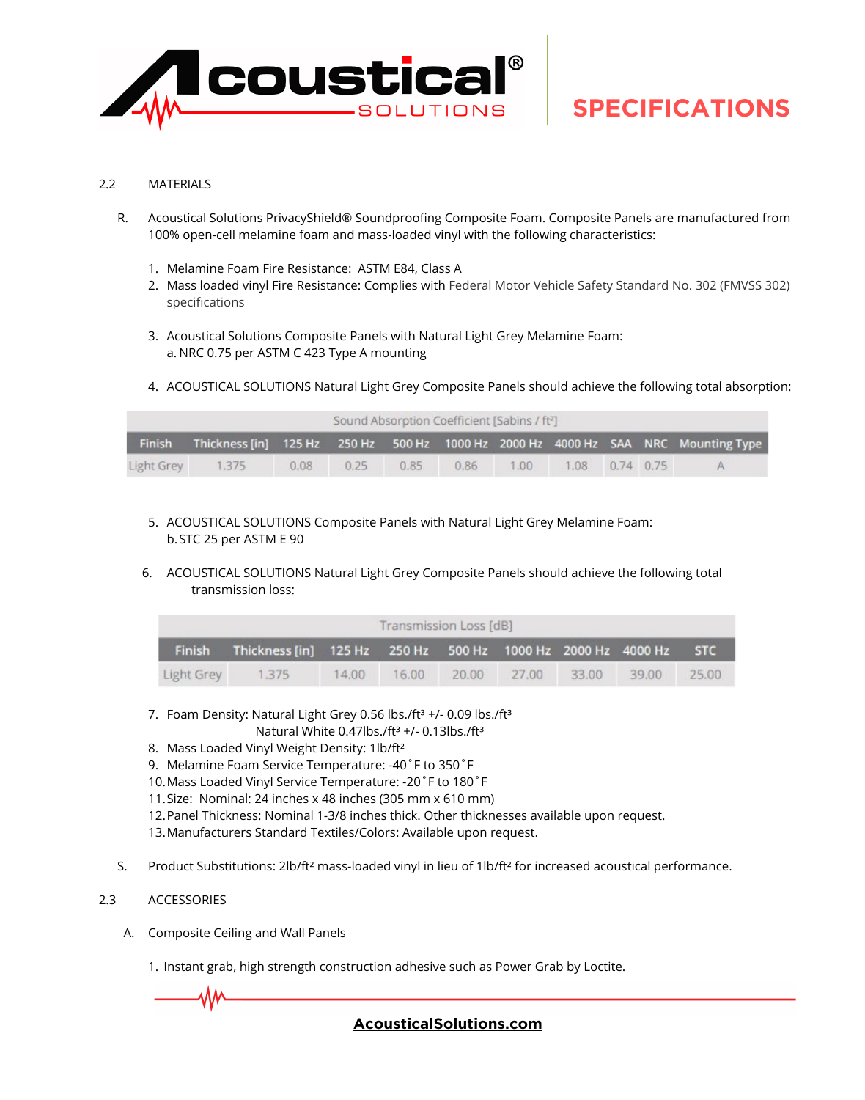

### 2.2 MATERIALS

- R. Acoustical Solutions PrivacyShield® Soundproofing Composite Foam. Composite Panels are manufactured from 100% open-cell melamine foam and mass-loaded vinyl with the following characteristics:
	- 1. Melamine Foam Fire Resistance: ASTM E84, Class A
	- 2. Mass loaded vinyl Fire Resistance: Complies with Federal Motor Vehicle Safety Standard No. 302 (FMVSS 302) specifications
	- 3. Acoustical Solutions Composite Panels with Natural Light Grey Melamine Foam: a. NRC 0.75 per ASTM C 423 Type A mounting
	- 4. ACOUSTICAL SOLUTIONS Natural Light Grey Composite Panels should achieve the following total absorption:

| Sound Absorption Coefficient [Sabins / ft <sup>2</sup> ] |       |      |      |      |      |      |                  |  |  |                                                                                          |  |
|----------------------------------------------------------|-------|------|------|------|------|------|------------------|--|--|------------------------------------------------------------------------------------------|--|
|                                                          |       |      |      |      |      |      |                  |  |  | Finish Thickness [in] 125 Hz 250 Hz 500 Hz 1000 Hz 2000 Hz 4000 Hz SAA NRC Mounting Type |  |
| Light Grey                                               | 1.375 | 0.08 | 0.25 | 0.85 | 0.86 | 1.00 | 1.08  0.74  0.75 |  |  | A                                                                                        |  |

- 5. ACOUSTICAL SOLUTIONS Composite Panels with Natural Light Grey Melamine Foam: b.STC 25 per ASTM E 90
- 6. ACOUSTICAL SOLUTIONS Natural Light Grey Composite Panels should achieve the following total transmission loss:

| Transmission Loss [dB] |                                                                    |       |       |       |       |       |       |            |  |  |  |
|------------------------|--------------------------------------------------------------------|-------|-------|-------|-------|-------|-------|------------|--|--|--|
|                        | Finish Thickness [in] 125 Hz 250 Hz 500 Hz 1000 Hz 2000 Hz 4000 Hz |       |       |       |       |       |       | <b>STC</b> |  |  |  |
| Light Grey             | 1.375                                                              | 14.00 | 16.00 | 20.00 | 27.00 | 33.00 | 39.00 | 25.00      |  |  |  |

- 7. Foam Density: Natural Light Grey 0.56 lbs./ft<sup>3</sup> +/- 0.09 lbs./ft<sup>3</sup>
	- Natural White 0.47lbs./ft<sup>3</sup> +/- 0.13lbs./ft<sup>3</sup>
- 8. Mass Loaded Vinyl Weight Density: 1lb/ft²
- 9. Melamine Foam Service Temperature: -40˚F to 350˚F
- 10.Mass Loaded Vinyl Service Temperature: -20˚F to 180˚F
- 11.Size: Nominal: 24 inches x 48 inches (305 mm x 610 mm)
- 12.Panel Thickness: Nominal 1-3/8 inches thick. Other thicknesses available upon request.
- 13.Manufacturers Standard Textiles/Colors: Available upon request.
- S. Product Substitutions: 2lb/ft² mass-loaded vinyl in lieu of 1lb/ft² for increased acoustical performance.

## 2.3 ACCESSORIES

A. Composite Ceiling and Wall Panels

1. Instant grab, high strength construction adhesive such as Power Grab by Loctite.